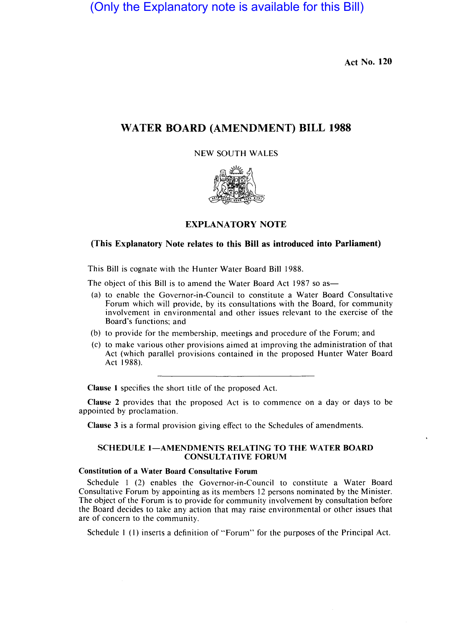(Only the Explanatory note is available for this Bill)

Act No. 120

# WATER **BOARD** (AMENDMENT) **BILL 1988**

NEW SOUTH WALES



### EXPLANA TORY NOTE

## (This Explanatory Note relates to this Bill as introduced into Parliament)

This Bill is cognate with the Hunter Water Board Bill 1988.

The object of this Bill is to amend the Water Board Act 1987 so as-

- (a) to enable the Governor-in-Council to constitute a Water Board Consultative Forum which will provide, by its consultations with the Board, for community involvement in environmental and other issues relevant to the exercise of the Board's functions; and
- (b) to provide for the membership, meetings and procedure of the Forum; and
- (c) to make various other provisions aimed at improving the administration of that Act (which parallel provisions contained in the proposed Hunter Water Board Act 1988).

Clause I specifies the short title of the proposed Act.

Clause 2 provides that the proposed Act is to commence on a day or days to be appointed by proclamation.

Clause 3 is a formal provision giving effect to the Schedules of amendments.

#### SCHEDULE 1-AMENDMENTS RELATING TO THE WATER BOARD CONSULTATIVE FORUM

### Constitution of a Water Board Consultative Forum

Schedule I (2) enables the Governor-in-Council to constitute a Water Board Consultative Forum by appointing as its members 12 persons nominated by the Minister. The object of the Forum is to provide for community involvement by consultation before the Board decides to take any action that may raise environmental or other issues that are of concern to the community.

Schedule I (I) inserts a definition of "Forum" for the purposes of the Principal Act.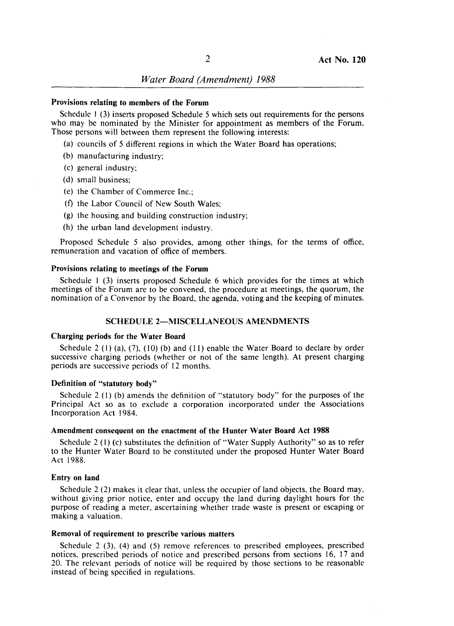## Provisions relating to members of the Forum

Schedule 1 $(3)$  inserts proposed Schedule 5 which sets out requirements for the persons who may be nominated by the Minister for appointment as members of the Forum. Those persons will between them represent the following interests:

- (a) councils of 5 different regions in which the Water Board has operations;
- (b) manufacturing industry;
- (c) general industry;
- (d) small business;
- (e) the Chamber of Commerce Inc.;
- (f) the Labor Council of New South Wales;
- $(g)$  the housing and building construction industry;
- $(h)$  the urban land development industry.

Proposed Schedule 5 also provides, among other things, for the terms of office, remuneration and vacation of office of members.

#### Provisions relating to meetings of the Forum

Schedule  $1$  (3) inserts proposed Schedule 6 which provides for the times at which meetings of the Forum are to be convened, the procedure at meetings, the quorum, the nomination of a Convenor by the Board, the agenda, voting and the keeping of minutes.

#### SCHEDULE 2-MISCELLANEOUS AMENDMENTS

#### Charging periods for the Water Board

Schedule 2 (1) (a), (7), (10) (b) and (11) enable the Water Board to declare by order successive charging periods (whether or not of the same length). At present charging periods are successive periods of 12 months.

#### Definition of "statutory body"

Schedule 2 (1) (b) amends the definition of "statutory body" for the purposes of the Principal Act so as to exclude a corporation incorporated under the Associations Incorporation Act 1984.

#### Amendment consequent on the enactment of the Hunter Water Board Act 1988

Schedule 2 (1) (c) substitutes the definition of "Water Supply Authority" so as to refer to the Hunter Water Board to be constituted under the proposed Hunter Water Board Act 1988.

#### Entry on land

Schedule  $2(2)$  makes it clear that, unless the occupier of land objects, the Board may, without giving prior notice, enter and ccupy the land during daylight hours for the purpose of reading a meter, ascertaining whether trade waste is present or escaping or making a valuation.

### Removal of requirement to prescribe various matters

Schedule 2 (3), (4) and (5) remove references to prescribed employees, prescribed notices, prescribed periods of notice and prescribed persons from sections 16, 17 and 20. The relevant periods of notice will be required by those sections to be reasonable instead of being specified in regulations.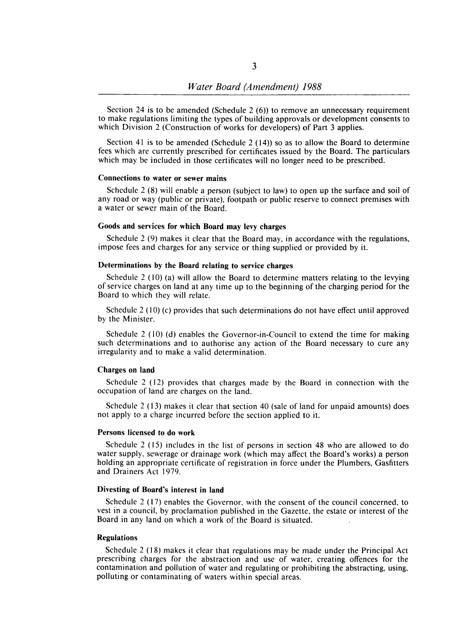Section 24 is to be amended (Schedule 2 $(6)$ ) to remove an unnecessary requirement to make regulations limiting the types of building approvals or development consents to which Division 2 (Construction of works for developers) of Part 3 applies.

Section 41 is to be amended (Schedule 2 (14)) so as to allow the Board to determine fees which are currently prescribed for certificates issued by the Board. The particulars which may be included in those certificates will no longer need to be prescribed.

## Connections to water or sewer mains

Schedule 2 (8) will enable a person (subject to law) to open up the surface and soil of any road or way (public or private), footpath or public reserve to connect premises with a water or sewer main of the Board.

### Goods and services for which Board may levy charges

Schedule 2 (9) makes it clear that the Board may, in accordance with the regulations, impose fees and charges for any service or thing supplied or provided by it.

## Determinations by the Board relating to service charges

Schedule 2 (10) (a) will allow the Board to determine matters relating to the levying of service charges on land at any time up to the beginning of the charging period for the Board to which they will relate.

Schedule 2 (10) (c) provides that such determinations do not have effect until approved by the Minister.

Schedule 2 (10) (d) enables the Governor-in-Council to extend the time for making such determinations and to authorise any action of the Board necessary to cure any irregularity and to make a valid determination.

#### Charges on land

Schedule 2 (12) provides that charges made by the Board in connection with the occupation of land are charges on the land.

Schedule 2 (13) makes it clear that section 40 (sale of land for unpaid amounts) does not apply to a charge incurred before the section applied to it.

#### Persons licensed to do work

Schedule 2 (15) includes in the list of persons in section 48 who are allowed to do water supply, sewerage or drainage work (which may affect the Board's works) a person holding an appropriate certificate of registration in force under the Plumbers, Gasfitters and Drainers Act 1979.

#### Divesting of Board's interest in land

Schedule 2 (17) enables the Governor, with the consent of the council concerned, to vest in a council, by proclamation published in the Gazette, the estate or interest of the Board in any land on which a work of the Board is situated.

### Regulations

Schedule 2 (18) makes it clear that regulations may be made under the Principal Act prescribing charges for the abstraction and use of water, creating offences for the contamination and pollution of water and regulating or prohibiting the abstracting, using, polluting or contaminating of waters within special areas.